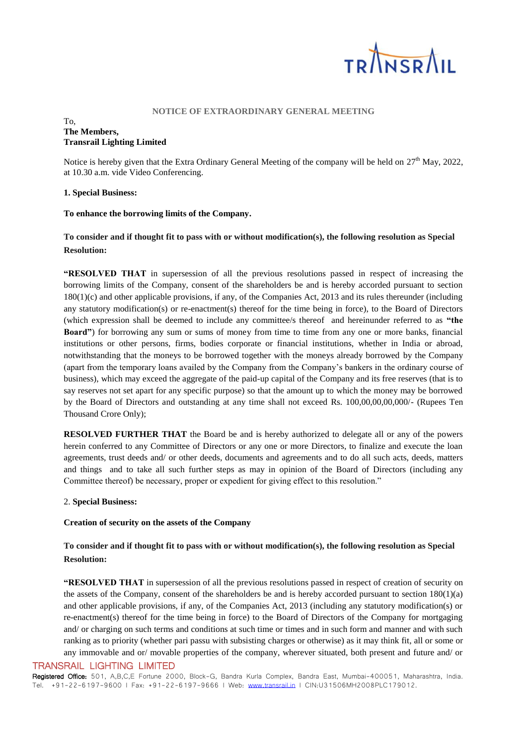

#### **NOTICE OF EXTRAORDINARY GENERAL MEETING**

#### To, **The Members, Transrail Lighting Limited**

Notice is hereby given that the Extra Ordinary General Meeting of the company will be held on  $27<sup>th</sup>$  May, 2022, at 10.30 a.m. vide Video Conferencing.

## **1. Special Business:**

## **To enhance the borrowing limits of the Company.**

# **To consider and if thought fit to pass with or without modification(s), the following resolution as Special Resolution:**

**"RESOLVED THAT** in supersession of all the previous resolutions passed in respect of increasing the borrowing limits of the Company, consent of the shareholders be and is hereby accorded pursuant to section 180(1)(c) and other applicable provisions, if any, of the Companies Act, 2013 and its rules thereunder (including any statutory modification(s) or re-enactment(s) thereof for the time being in force), to the Board of Directors (which expression shall be deemed to include any committee/s thereof and hereinunder referred to as **"the Board"**) for borrowing any sum or sums of money from time to time from any one or more banks, financial institutions or other persons, firms, bodies corporate or financial institutions, whether in India or abroad, notwithstanding that the moneys to be borrowed together with the moneys already borrowed by the Company (apart from the temporary loans availed by the Company from the Company's bankers in the ordinary course of business), which may exceed the aggregate of the paid-up capital of the Company and its free reserves (that is to say reserves not set apart for any specific purpose) so that the amount up to which the money may be borrowed by the Board of Directors and outstanding at any time shall not exceed Rs. 100,00,00,00,000/- (Rupees Ten Thousand Crore Only);

**RESOLVED FURTHER THAT** the Board be and is hereby authorized to delegate all or any of the powers herein conferred to any Committee of Directors or any one or more Directors, to finalize and execute the loan agreements, trust deeds and/ or other deeds, documents and agreements and to do all such acts, deeds, matters and things and to take all such further steps as may in opinion of the Board of Directors (including any Committee thereof) be necessary, proper or expedient for giving effect to this resolution."

## 2. **Special Business:**

## **Creation of security on the assets of the Company**

# **To consider and if thought fit to pass with or without modification(s), the following resolution as Special Resolution:**

**"RESOLVED THAT** in supersession of all the previous resolutions passed in respect of creation of security on the assets of the Company, consent of the shareholders be and is hereby accorded pursuant to section  $180(1)(a)$ and other applicable provisions, if any, of the Companies Act, 2013 (including any statutory modification(s) or re-enactment(s) thereof for the time being in force) to the Board of Directors of the Company for mortgaging and/ or charging on such terms and conditions at such time or times and in such form and manner and with such ranking as to priority (whether pari passu with subsisting charges or otherwise) as it may think fit, all or some or any immovable and or/ movable properties of the company, wherever situated, both present and future and/ or

## TRANSRAIL LIGHTING LIMITED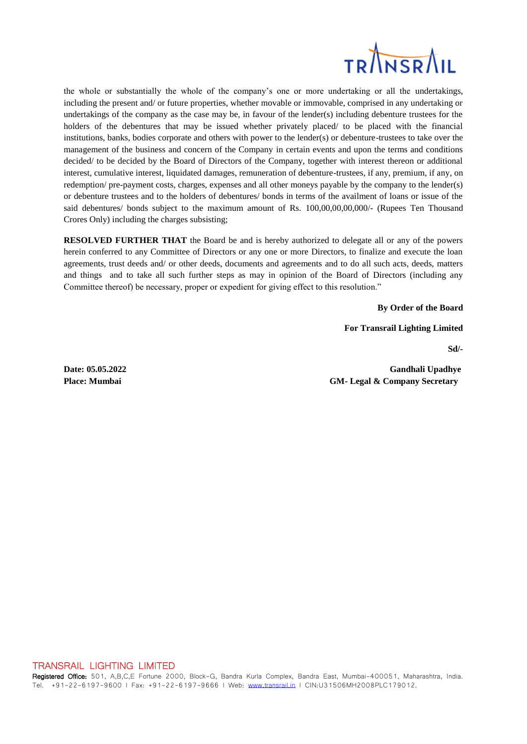

the whole or substantially the whole of the company's one or more undertaking or all the undertakings, including the present and/ or future properties, whether movable or immovable, comprised in any undertaking or undertakings of the company as the case may be, in favour of the lender(s) including debenture trustees for the holders of the debentures that may be issued whether privately placed/ to be placed with the financial institutions, banks, bodies corporate and others with power to the lender(s) or debenture-trustees to take over the management of the business and concern of the Company in certain events and upon the terms and conditions decided/ to be decided by the Board of Directors of the Company, together with interest thereon or additional interest, cumulative interest, liquidated damages, remuneration of debenture-trustees, if any, premium, if any, on redemption/ pre-payment costs, charges, expenses and all other moneys payable by the company to the lender(s) or debenture trustees and to the holders of debentures/ bonds in terms of the availment of loans or issue of the said debentures/ bonds subject to the maximum amount of Rs. 100,00,00,00,000/- (Rupees Ten Thousand Crores Only) including the charges subsisting;

**RESOLVED FURTHER THAT** the Board be and is hereby authorized to delegate all or any of the powers herein conferred to any Committee of Directors or any one or more Directors, to finalize and execute the loan agreements, trust deeds and/ or other deeds, documents and agreements and to do all such acts, deeds, matters and things and to take all such further steps as may in opinion of the Board of Directors (including any Committee thereof) be necessary, proper or expedient for giving effect to this resolution."

**By Order of the Board**

**For Transrail Lighting Limited**

**Sd/-**

**Date: 05.05.2022 Gandhali Upadhye Place: Mumbai GM- Legal & Company Secretary**

TRANSRAIL LIGHTING LIMITED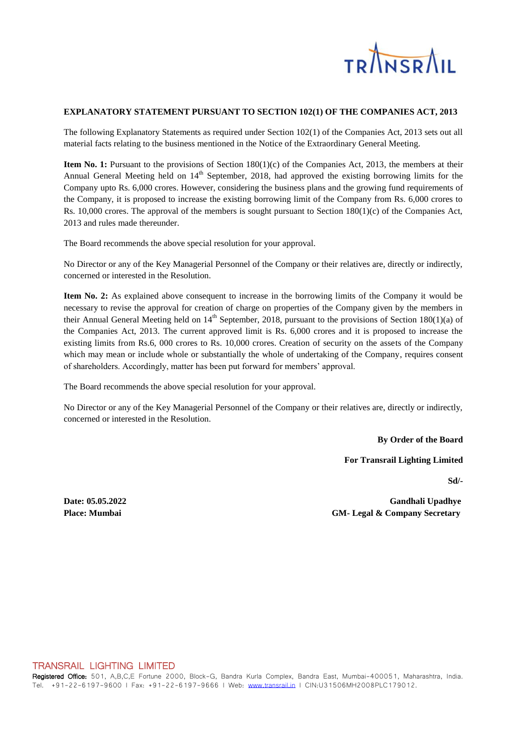

## **EXPLANATORY STATEMENT PURSUANT TO SECTION 102(1) OF THE COMPANIES ACT, 2013**

The following Explanatory Statements as required under Section 102(1) of the Companies Act, 2013 sets out all material facts relating to the business mentioned in the Notice of the Extraordinary General Meeting.

**Item No. 1:** Pursuant to the provisions of Section 180(1)(c) of the Companies Act, 2013, the members at their Annual General Meeting held on 14<sup>th</sup> September, 2018, had approved the existing borrowing limits for the Company upto Rs. 6,000 crores. However, considering the business plans and the growing fund requirements of the Company, it is proposed to increase the existing borrowing limit of the Company from Rs. 6,000 crores to Rs. 10,000 crores. The approval of the members is sought pursuant to Section 180(1)(c) of the Companies Act, 2013 and rules made thereunder.

The Board recommends the above special resolution for your approval.

No Director or any of the Key Managerial Personnel of the Company or their relatives are, directly or indirectly, concerned or interested in the Resolution.

**Item No. 2:** As explained above consequent to increase in the borrowing limits of the Company it would be necessary to revise the approval for creation of charge on properties of the Company given by the members in their Annual General Meeting held on  $14<sup>th</sup>$  September, 2018, pursuant to the provisions of Section 180(1)(a) of the Companies Act, 2013. The current approved limit is Rs. 6,000 crores and it is proposed to increase the existing limits from Rs.6, 000 crores to Rs. 10,000 crores. Creation of security on the assets of the Company which may mean or include whole or substantially the whole of undertaking of the Company, requires consent of shareholders. Accordingly, matter has been put forward for members' approval.

The Board recommends the above special resolution for your approval.

No Director or any of the Key Managerial Personnel of the Company or their relatives are, directly or indirectly, concerned or interested in the Resolution.

**By Order of the Board**

**For Transrail Lighting Limited**

**Sd/-**

**Date: 05.05.2022 Gandhali Upadhye Place: Mumbai GM- Legal & Company Secretary**

#### TRANSRAIL LIGHTING LIMITED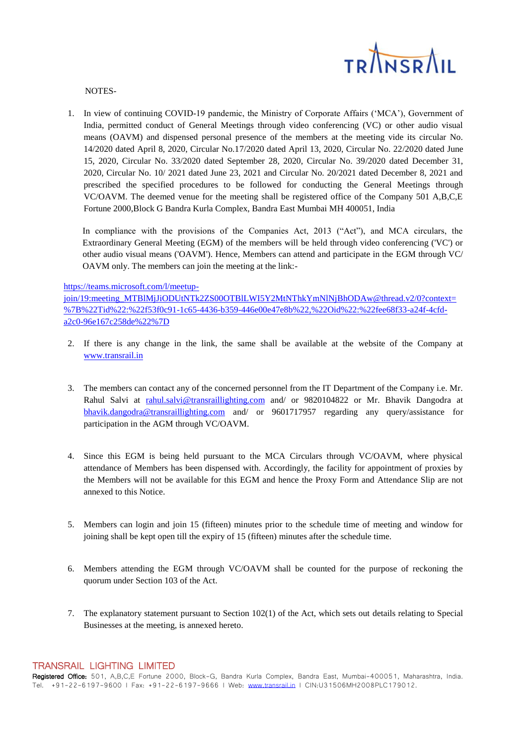

NOTES-

1. In view of continuing COVID-19 pandemic, the Ministry of Corporate Affairs ('MCA'), Government of India, permitted conduct of General Meetings through video conferencing (VC) or other audio visual means (OAVM) and dispensed personal presence of the members at the meeting vide its circular No. 14/2020 dated April 8, 2020, Circular No.17/2020 dated April 13, 2020, Circular No. 22/2020 dated June 15, 2020, Circular No. 33/2020 dated September 28, 2020, Circular No. 39/2020 dated December 31, 2020, Circular No. 10/ 2021 dated June 23, 2021 and Circular No. 20/2021 dated December 8, 2021 and prescribed the specified procedures to be followed for conducting the General Meetings through VC/OAVM. The deemed venue for the meeting shall be registered office of the Company 501 A,B,C,E Fortune 2000,Block G Bandra Kurla Complex, Bandra East Mumbai MH 400051, India

In compliance with the provisions of the Companies Act, 2013 ("Act"), and MCA circulars, the Extraordinary General Meeting (EGM) of the members will be held through video conferencing ('VC') or other audio visual means ('OAVM'). Hence, Members can attend and participate in the EGM through VC/ OAVM only. The members can join the meeting at the link:-

#### [https://teams.microsoft.com/l/meetup-](https://teams.microsoft.com/l/meetup-join/19:meeting_MTBlMjJiODUtNTk2ZS00OTBlLWI5Y2MtNThkYmNlNjBhODAw@thread.v2/0?context=%7B%22Tid%22:%22f53f0c91-1c65-4436-b359-446e00e47e8b%22,%22Oid%22:%22fee68f33-a24f-4cfd-a2c0-96e167c258de%22%7D)

[join/19:meeting\\_MTBlMjJiODUtNTk2ZS00OTBlLWI5Y2MtNThkYmNlNjBhODAw@thread.v2/0?context=](https://teams.microsoft.com/l/meetup-join/19:meeting_MTBlMjJiODUtNTk2ZS00OTBlLWI5Y2MtNThkYmNlNjBhODAw@thread.v2/0?context=%7B%22Tid%22:%22f53f0c91-1c65-4436-b359-446e00e47e8b%22,%22Oid%22:%22fee68f33-a24f-4cfd-a2c0-96e167c258de%22%7D) [%7B%22Tid%22:%22f53f0c91-1c65-4436-b359-446e00e47e8b%22,%22Oid%22:%22fee68f33-a24f-4cfd](https://teams.microsoft.com/l/meetup-join/19:meeting_MTBlMjJiODUtNTk2ZS00OTBlLWI5Y2MtNThkYmNlNjBhODAw@thread.v2/0?context=%7B%22Tid%22:%22f53f0c91-1c65-4436-b359-446e00e47e8b%22,%22Oid%22:%22fee68f33-a24f-4cfd-a2c0-96e167c258de%22%7D)[a2c0-96e167c258de%22%7D](https://teams.microsoft.com/l/meetup-join/19:meeting_MTBlMjJiODUtNTk2ZS00OTBlLWI5Y2MtNThkYmNlNjBhODAw@thread.v2/0?context=%7B%22Tid%22:%22f53f0c91-1c65-4436-b359-446e00e47e8b%22,%22Oid%22:%22fee68f33-a24f-4cfd-a2c0-96e167c258de%22%7D)

- 2. If there is any change in the link, the same shall be available at the website of the Company at [www.transrail.in](http://www.transrail.in/)
- 3. The members can contact any of the concerned personnel from the IT Department of the Company i.e. Mr. Rahul Salvi at [rahul.salvi@transraillighting.com](mailto:rahul.salvi@transraillighting.com) and/ or 9820104822 or Mr. Bhavik Dangodra at [bhavik.dangodra@transraillighting.com](mailto:bhavik.dangodra@transraillighting.com) and/ or 9601717957 regarding any query/assistance for participation in the AGM through VC/OAVM.
- 4. Since this EGM is being held pursuant to the MCA Circulars through VC/OAVM, where physical attendance of Members has been dispensed with. Accordingly, the facility for appointment of proxies by the Members will not be available for this EGM and hence the Proxy Form and Attendance Slip are not annexed to this Notice.
- 5. Members can login and join 15 (fifteen) minutes prior to the schedule time of meeting and window for joining shall be kept open till the expiry of 15 (fifteen) minutes after the schedule time.
- 6. Members attending the EGM through VC/OAVM shall be counted for the purpose of reckoning the quorum under Section 103 of the Act.
- 7. The explanatory statement pursuant to Section 102(1) of the Act, which sets out details relating to Special Businesses at the meeting, is annexed hereto.

#### TRANSRAIL LIGHTING LIMITED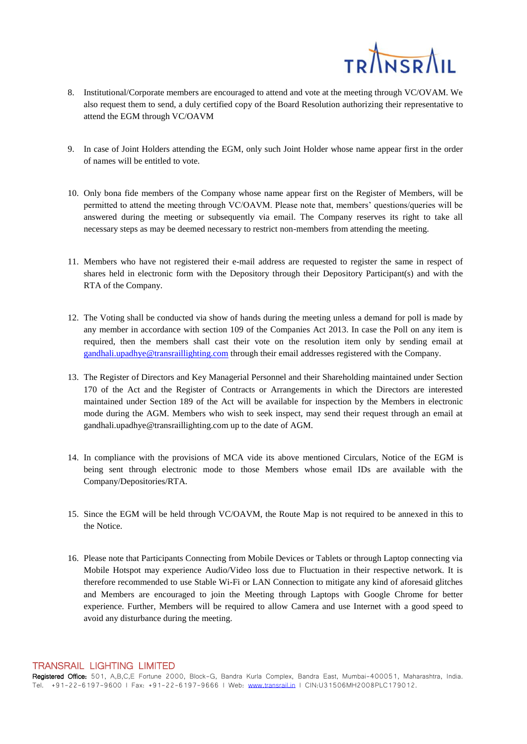

- 8. Institutional/Corporate members are encouraged to attend and vote at the meeting through VC/OVAM. We also request them to send, a duly certified copy of the Board Resolution authorizing their representative to attend the EGM through VC/OAVM
- 9. In case of Joint Holders attending the EGM, only such Joint Holder whose name appear first in the order of names will be entitled to vote.
- 10. Only bona fide members of the Company whose name appear first on the Register of Members, will be permitted to attend the meeting through VC/OAVM. Please note that, members' questions/queries will be answered during the meeting or subsequently via email. The Company reserves its right to take all necessary steps as may be deemed necessary to restrict non-members from attending the meeting.
- 11. Members who have not registered their e-mail address are requested to register the same in respect of shares held in electronic form with the Depository through their Depository Participant(s) and with the RTA of the Company.
- 12. The Voting shall be conducted via show of hands during the meeting unless a demand for poll is made by any member in accordance with section 109 of the Companies Act 2013. In case the Poll on any item is required, then the members shall cast their vote on the resolution item only by sending email at [gandhali.upadhye@transraillighting.com](mailto:gandhali.upadhye@transraillighting.com) through their email addresses registered with the Company.
- 13. The Register of Directors and Key Managerial Personnel and their Shareholding maintained under Section 170 of the Act and the Register of Contracts or Arrangements in which the Directors are interested maintained under Section 189 of the Act will be available for inspection by the Members in electronic mode during the AGM. Members who wish to seek inspect, may send their request through an email at gandhali.upadhye@transraillighting.com up to the date of AGM.
- 14. In compliance with the provisions of MCA vide its above mentioned Circulars, Notice of the EGM is being sent through electronic mode to those Members whose email IDs are available with the Company/Depositories/RTA.
- 15. Since the EGM will be held through VC/OAVM, the Route Map is not required to be annexed in this to the Notice.
- 16. Please note that Participants Connecting from Mobile Devices or Tablets or through Laptop connecting via Mobile Hotspot may experience Audio/Video loss due to Fluctuation in their respective network. It is therefore recommended to use Stable Wi-Fi or LAN Connection to mitigate any kind of aforesaid glitches and Members are encouraged to join the Meeting through Laptops with Google Chrome for better experience. Further, Members will be required to allow Camera and use Internet with a good speed to avoid any disturbance during the meeting.

TRANSRAIL LIGHTING LIMITED